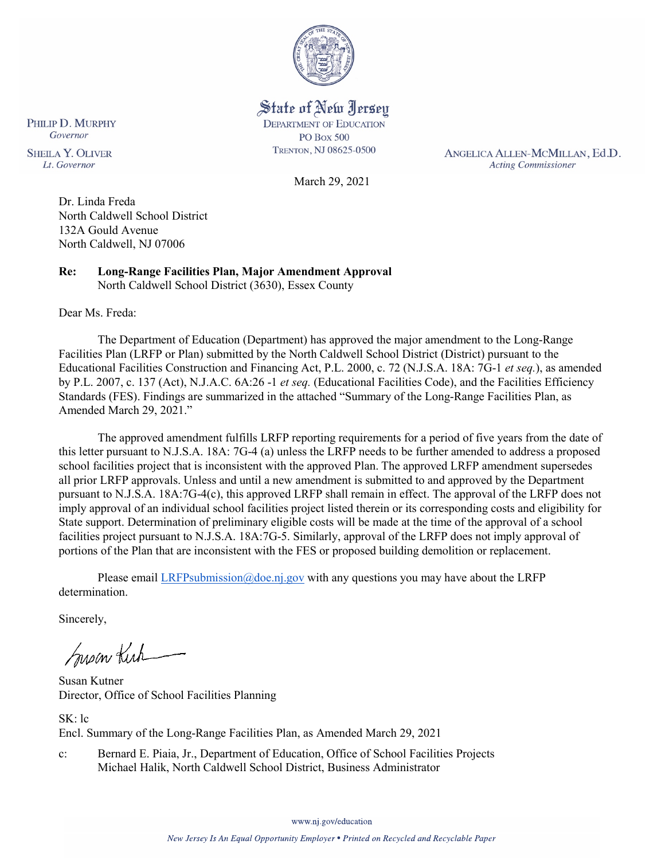

State of New Jersey **DEPARTMENT OF EDUCATION PO Box 500** TRENTON, NJ 08625-0500

ANGELICA ALLEN-MCMILLAN, Ed.D. **Acting Commissioner** 

March 29, 2021

PHILIP D. MURPHY Governor **SHEILA Y. OLIVER** Lt. Governor

> Dr. Linda Freda North Caldwell School District 132A Gould Avenue North Caldwell, NJ 07006

**Re: Long-Range Facilities Plan, Major Amendment Approval**  North Caldwell School District (3630), Essex County

Dear Ms. Freda:

The Department of Education (Department) has approved the major amendment to the Long-Range Facilities Plan (LRFP or Plan) submitted by the North Caldwell School District (District) pursuant to the Educational Facilities Construction and Financing Act, P.L. 2000, c. 72 (N.J.S.A. 18A: 7G-1 *et seq.*), as amended by P.L. 2007, c. 137 (Act), N.J.A.C. 6A:26 -1 *et seq.* (Educational Facilities Code), and the Facilities Efficiency Standards (FES). Findings are summarized in the attached "Summary of the Long-Range Facilities Plan, as Amended March 29, 2021."

The approved amendment fulfills LRFP reporting requirements for a period of five years from the date of this letter pursuant to N.J.S.A. 18A: 7G-4 (a) unless the LRFP needs to be further amended to address a proposed school facilities project that is inconsistent with the approved Plan. The approved LRFP amendment supersedes all prior LRFP approvals. Unless and until a new amendment is submitted to and approved by the Department pursuant to N.J.S.A. 18A:7G-4(c), this approved LRFP shall remain in effect. The approval of the LRFP does not imply approval of an individual school facilities project listed therein or its corresponding costs and eligibility for State support. Determination of preliminary eligible costs will be made at the time of the approval of a school facilities project pursuant to N.J.S.A. 18A:7G-5. Similarly, approval of the LRFP does not imply approval of portions of the Plan that are inconsistent with the FES or proposed building demolition or replacement.

Please email [LRFPsubmission@doe.nj.gov](mailto:LRFPsubmission@doe.nj.gov) with any questions you may have about the LRFP determination.

Sincerely,

Susan Kich

Susan Kutner Director, Office of School Facilities Planning

SK: lc Encl. Summary of the Long-Range Facilities Plan, as Amended March 29, 2021

c: Bernard E. Piaia, Jr., Department of Education, Office of School Facilities Projects Michael Halik, North Caldwell School District, Business Administrator

www.nj.gov/education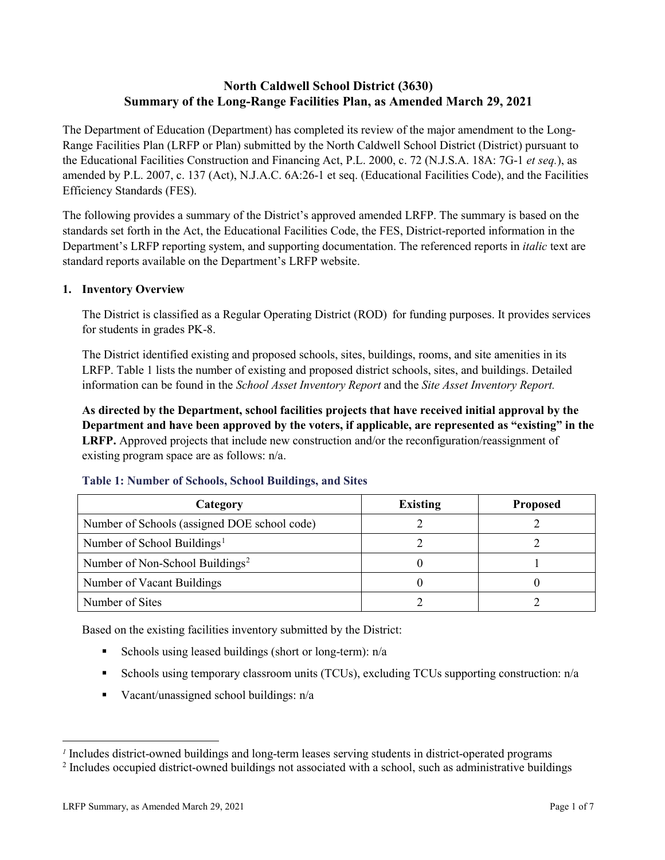# **North Caldwell School District (3630) Summary of the Long-Range Facilities Plan, as Amended March 29, 2021**

The Department of Education (Department) has completed its review of the major amendment to the Long-Range Facilities Plan (LRFP or Plan) submitted by the North Caldwell School District (District) pursuant to the Educational Facilities Construction and Financing Act, P.L. 2000, c. 72 (N.J.S.A. 18A: 7G-1 *et seq.*), as amended by P.L. 2007, c. 137 (Act), N.J.A.C. 6A:26-1 et seq. (Educational Facilities Code), and the Facilities Efficiency Standards (FES).

The following provides a summary of the District's approved amended LRFP. The summary is based on the standards set forth in the Act, the Educational Facilities Code, the FES, District-reported information in the Department's LRFP reporting system, and supporting documentation. The referenced reports in *italic* text are standard reports available on the Department's LRFP website.

### **1. Inventory Overview**

The District is classified as a Regular Operating District (ROD) for funding purposes. It provides services for students in grades PK-8.

The District identified existing and proposed schools, sites, buildings, rooms, and site amenities in its LRFP. Table 1 lists the number of existing and proposed district schools, sites, and buildings. Detailed information can be found in the *School Asset Inventory Report* and the *Site Asset Inventory Report.*

**As directed by the Department, school facilities projects that have received initial approval by the Department and have been approved by the voters, if applicable, are represented as "existing" in the LRFP.** Approved projects that include new construction and/or the reconfiguration/reassignment of existing program space are as follows: n/a.

| Category                                     | <b>Existing</b> | <b>Proposed</b> |
|----------------------------------------------|-----------------|-----------------|
| Number of Schools (assigned DOE school code) |                 |                 |
| Number of School Buildings <sup>1</sup>      |                 |                 |
| Number of Non-School Buildings <sup>2</sup>  |                 |                 |
| Number of Vacant Buildings                   |                 |                 |
| Number of Sites                              |                 |                 |

#### **Table 1: Number of Schools, School Buildings, and Sites**

Based on the existing facilities inventory submitted by the District:

- Schools using leased buildings (short or long-term):  $n/a$
- Schools using temporary classroom units (TCUs), excluding TCUs supporting construction: n/a
- Vacant/unassigned school buildings:  $n/a$

 $\overline{a}$ 

<span id="page-1-1"></span><span id="page-1-0"></span>*<sup>1</sup>* Includes district-owned buildings and long-term leases serving students in district-operated programs

<sup>&</sup>lt;sup>2</sup> Includes occupied district-owned buildings not associated with a school, such as administrative buildings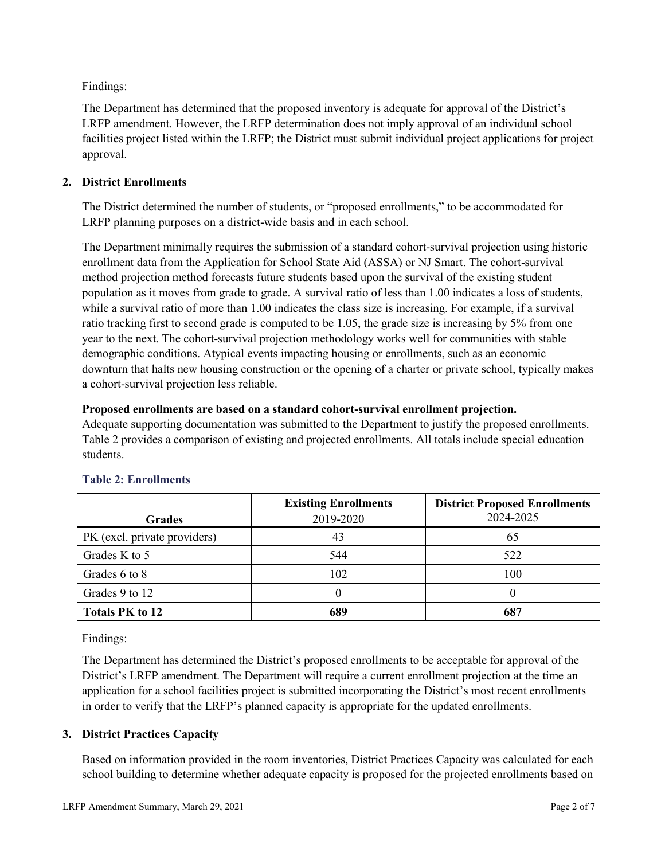Findings:

The Department has determined that the proposed inventory is adequate for approval of the District's LRFP amendment. However, the LRFP determination does not imply approval of an individual school facilities project listed within the LRFP; the District must submit individual project applications for project approval.

# **2. District Enrollments**

The District determined the number of students, or "proposed enrollments," to be accommodated for LRFP planning purposes on a district-wide basis and in each school.

The Department minimally requires the submission of a standard cohort-survival projection using historic enrollment data from the Application for School State Aid (ASSA) or NJ Smart. The cohort-survival method projection method forecasts future students based upon the survival of the existing student population as it moves from grade to grade. A survival ratio of less than 1.00 indicates a loss of students, while a survival ratio of more than 1.00 indicates the class size is increasing. For example, if a survival ratio tracking first to second grade is computed to be 1.05, the grade size is increasing by 5% from one year to the next. The cohort-survival projection methodology works well for communities with stable demographic conditions. Atypical events impacting housing or enrollments, such as an economic downturn that halts new housing construction or the opening of a charter or private school, typically makes a cohort-survival projection less reliable.

### **Proposed enrollments are based on a standard cohort-survival enrollment projection.**

Adequate supporting documentation was submitted to the Department to justify the proposed enrollments. Table 2 provides a comparison of existing and projected enrollments. All totals include special education students.

|                              | <b>Existing Enrollments</b> | <b>District Proposed Enrollments</b> |
|------------------------------|-----------------------------|--------------------------------------|
| <b>Grades</b>                | 2019-2020                   | 2024-2025                            |
| PK (excl. private providers) | 43                          | 65                                   |
| Grades K to 5                | 544                         | 522                                  |
| Grades 6 to 8                | 102                         | 100                                  |
| Grades 9 to 12               |                             |                                      |
| <b>Totals PK to 12</b>       | 689                         | 687                                  |

# **Table 2: Enrollments**

Findings:

The Department has determined the District's proposed enrollments to be acceptable for approval of the District's LRFP amendment. The Department will require a current enrollment projection at the time an application for a school facilities project is submitted incorporating the District's most recent enrollments in order to verify that the LRFP's planned capacity is appropriate for the updated enrollments.

# **3. District Practices Capacity**

Based on information provided in the room inventories, District Practices Capacity was calculated for each school building to determine whether adequate capacity is proposed for the projected enrollments based on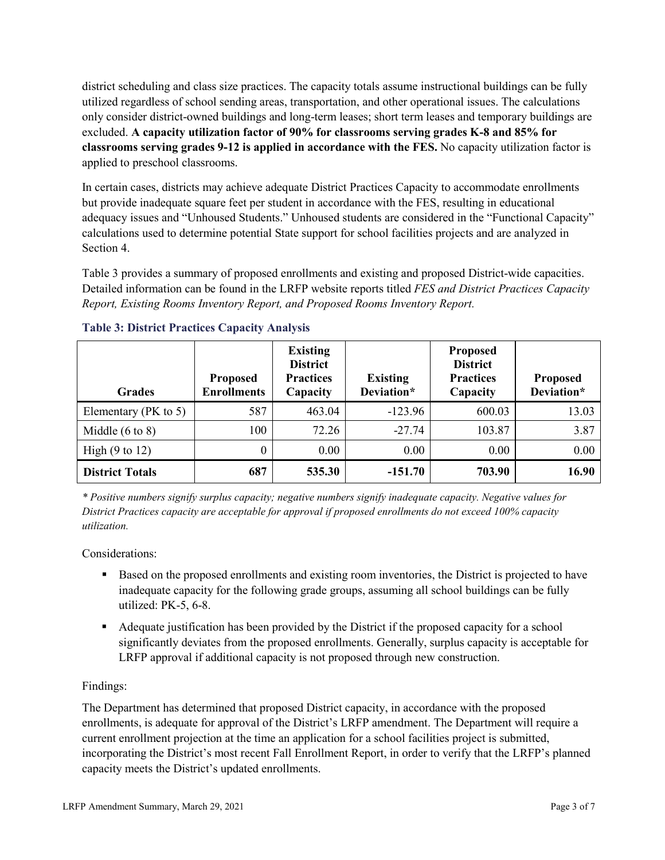district scheduling and class size practices. The capacity totals assume instructional buildings can be fully utilized regardless of school sending areas, transportation, and other operational issues. The calculations only consider district-owned buildings and long-term leases; short term leases and temporary buildings are excluded. **A capacity utilization factor of 90% for classrooms serving grades K-8 and 85% for classrooms serving grades 9-12 is applied in accordance with the FES.** No capacity utilization factor is applied to preschool classrooms.

In certain cases, districts may achieve adequate District Practices Capacity to accommodate enrollments but provide inadequate square feet per student in accordance with the FES, resulting in educational adequacy issues and "Unhoused Students." Unhoused students are considered in the "Functional Capacity" calculations used to determine potential State support for school facilities projects and are analyzed in Section 4.

Table 3 provides a summary of proposed enrollments and existing and proposed District-wide capacities. Detailed information can be found in the LRFP website reports titled *FES and District Practices Capacity Report, Existing Rooms Inventory Report, and Proposed Rooms Inventory Report.*

| <b>Grades</b>              | <b>Proposed</b><br><b>Enrollments</b> | <b>Existing</b><br><b>District</b><br><b>Practices</b><br>Capacity | <b>Existing</b><br>Deviation* | <b>Proposed</b><br><b>District</b><br><b>Practices</b><br>Capacity | <b>Proposed</b><br>Deviation* |
|----------------------------|---------------------------------------|--------------------------------------------------------------------|-------------------------------|--------------------------------------------------------------------|-------------------------------|
| Elementary ( $PK$ to 5)    | 587                                   | 463.04                                                             | $-123.96$                     | 600.03                                                             | 13.03                         |
| Middle $(6 \text{ to } 8)$ | 100                                   | 72.26                                                              | $-27.74$                      | 103.87                                                             | 3.87                          |
| High $(9 \text{ to } 12)$  | $\theta$                              | 0.00                                                               | 0.00                          | 0.00                                                               | 0.00                          |
| <b>District Totals</b>     | 687                                   | 535.30                                                             | $-151.70$                     | 703.90                                                             | 16.90                         |

# **Table 3: District Practices Capacity Analysis**

*\* Positive numbers signify surplus capacity; negative numbers signify inadequate capacity. Negative values for District Practices capacity are acceptable for approval if proposed enrollments do not exceed 100% capacity utilization.*

Considerations:

- Based on the proposed enrollments and existing room inventories, the District is projected to have inadequate capacity for the following grade groups, assuming all school buildings can be fully utilized: PK-5, 6-8.
- Adequate justification has been provided by the District if the proposed capacity for a school significantly deviates from the proposed enrollments. Generally, surplus capacity is acceptable for LRFP approval if additional capacity is not proposed through new construction.

# Findings:

The Department has determined that proposed District capacity, in accordance with the proposed enrollments, is adequate for approval of the District's LRFP amendment. The Department will require a current enrollment projection at the time an application for a school facilities project is submitted, incorporating the District's most recent Fall Enrollment Report, in order to verify that the LRFP's planned capacity meets the District's updated enrollments.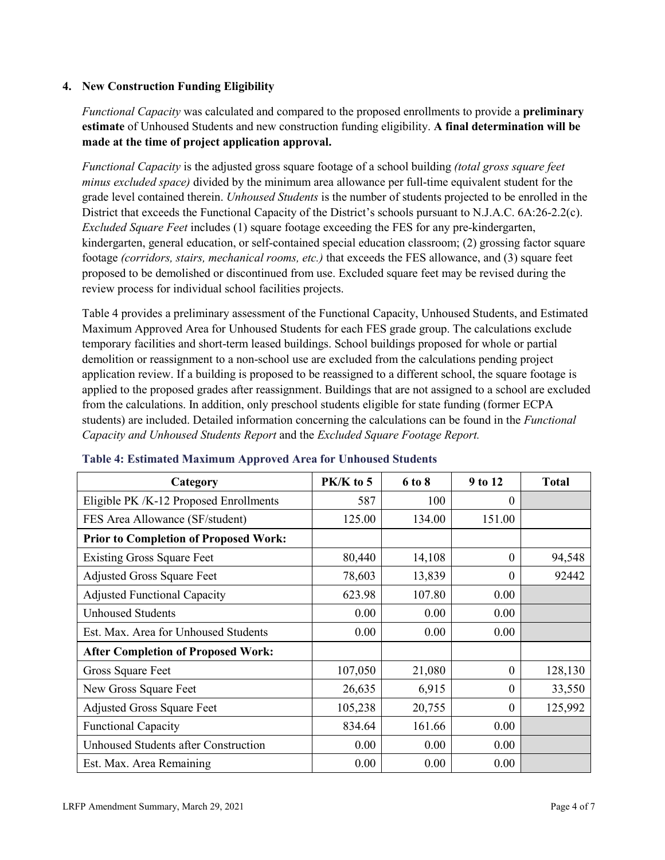## **4. New Construction Funding Eligibility**

*Functional Capacity* was calculated and compared to the proposed enrollments to provide a **preliminary estimate** of Unhoused Students and new construction funding eligibility. **A final determination will be made at the time of project application approval.**

*Functional Capacity* is the adjusted gross square footage of a school building *(total gross square feet minus excluded space)* divided by the minimum area allowance per full-time equivalent student for the grade level contained therein. *Unhoused Students* is the number of students projected to be enrolled in the District that exceeds the Functional Capacity of the District's schools pursuant to N.J.A.C. 6A:26-2.2(c). *Excluded Square Feet* includes (1) square footage exceeding the FES for any pre-kindergarten, kindergarten, general education, or self-contained special education classroom; (2) grossing factor square footage *(corridors, stairs, mechanical rooms, etc.)* that exceeds the FES allowance, and (3) square feet proposed to be demolished or discontinued from use. Excluded square feet may be revised during the review process for individual school facilities projects.

Table 4 provides a preliminary assessment of the Functional Capacity, Unhoused Students, and Estimated Maximum Approved Area for Unhoused Students for each FES grade group. The calculations exclude temporary facilities and short-term leased buildings. School buildings proposed for whole or partial demolition or reassignment to a non-school use are excluded from the calculations pending project application review. If a building is proposed to be reassigned to a different school, the square footage is applied to the proposed grades after reassignment. Buildings that are not assigned to a school are excluded from the calculations. In addition, only preschool students eligible for state funding (former ECPA students) are included. Detailed information concerning the calculations can be found in the *Functional Capacity and Unhoused Students Report* and the *Excluded Square Footage Report.*

| Category                                     | PK/K to 5 | 6 to 8 | 9 to 12  | <b>Total</b> |
|----------------------------------------------|-----------|--------|----------|--------------|
| Eligible PK /K-12 Proposed Enrollments       | 587       | 100    | 0        |              |
| FES Area Allowance (SF/student)              | 125.00    | 134.00 | 151.00   |              |
| <b>Prior to Completion of Proposed Work:</b> |           |        |          |              |
| <b>Existing Gross Square Feet</b>            | 80,440    | 14,108 | $\theta$ | 94,548       |
| <b>Adjusted Gross Square Feet</b>            | 78,603    | 13,839 | $\theta$ | 92442        |
| <b>Adjusted Functional Capacity</b>          | 623.98    | 107.80 | 0.00     |              |
| <b>Unhoused Students</b>                     | 0.00      | 0.00   | 0.00     |              |
| Est. Max. Area for Unhoused Students         | 0.00      | 0.00   | 0.00     |              |
| <b>After Completion of Proposed Work:</b>    |           |        |          |              |
| Gross Square Feet                            | 107,050   | 21,080 | $\theta$ | 128,130      |
| New Gross Square Feet                        | 26,635    | 6,915  | $\theta$ | 33,550       |
| <b>Adjusted Gross Square Feet</b>            | 105,238   | 20,755 | $\Omega$ | 125,992      |
| <b>Functional Capacity</b>                   | 834.64    | 161.66 | 0.00     |              |
| <b>Unhoused Students after Construction</b>  | 0.00      | 0.00   | 0.00     |              |
| Est. Max. Area Remaining                     | 0.00      | 0.00   | 0.00     |              |

#### **Table 4: Estimated Maximum Approved Area for Unhoused Students**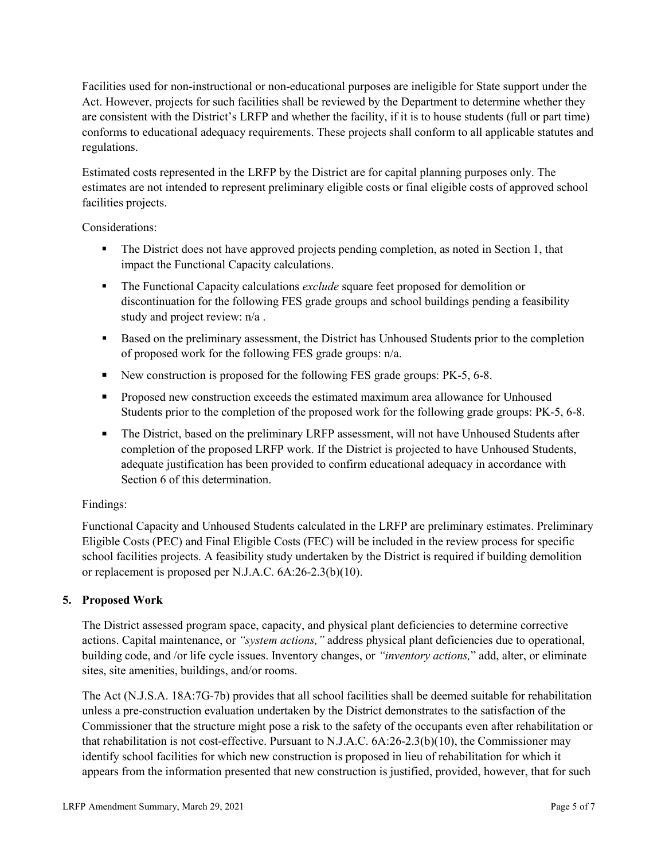Facilities used for non-instructional or non-educational purposes are ineligible for State support under the Act. However, projects for such facilities shall be reviewed by the Department to determine whether they are consistent with the District's LRFP and whether the facility, if it is to house students (full or part time) conforms to educational adequacy requirements. These projects shall conform to all applicable statutes and regulations.

Estimated costs represented in the LRFP by the District are for capital planning purposes only. The estimates are not intended to represent preliminary eligible costs or final eligible costs of approved school facilities projects.

Considerations:

- The District does not have approved projects pending completion, as noted in Section 1, that impact the Functional Capacity calculations.
- **The Functional Capacity calculations** *exclude* square feet proposed for demolition or discontinuation for the following FES grade groups and school buildings pending a feasibility study and project review: n/a .
- Based on the preliminary assessment, the District has Unhoused Students prior to the completion of proposed work for the following FES grade groups: n/a.
- New construction is proposed for the following FES grade groups: PK-5, 6-8.
- Proposed new construction exceeds the estimated maximum area allowance for Unhoused Students prior to the completion of the proposed work for the following grade groups: PK-5, 6-8.
- The District, based on the preliminary LRFP assessment, will not have Unhoused Students after completion of the proposed LRFP work. If the District is projected to have Unhoused Students, adequate justification has been provided to confirm educational adequacy in accordance with Section 6 of this determination.

# Findings:

Functional Capacity and Unhoused Students calculated in the LRFP are preliminary estimates. Preliminary Eligible Costs (PEC) and Final Eligible Costs (FEC) will be included in the review process for specific school facilities projects. A feasibility study undertaken by the District is required if building demolition or replacement is proposed per N.J.A.C. 6A:26-2.3(b)(10).

# **5. Proposed Work**

The District assessed program space, capacity, and physical plant deficiencies to determine corrective actions. Capital maintenance, or *"system actions,"* address physical plant deficiencies due to operational, building code, and /or life cycle issues. Inventory changes, or *"inventory actions,*" add, alter, or eliminate sites, site amenities, buildings, and/or rooms.

The Act (N.J.S.A. 18A:7G-7b) provides that all school facilities shall be deemed suitable for rehabilitation unless a pre-construction evaluation undertaken by the District demonstrates to the satisfaction of the Commissioner that the structure might pose a risk to the safety of the occupants even after rehabilitation or that rehabilitation is not cost-effective. Pursuant to N.J.A.C. 6A:26-2.3(b)(10), the Commissioner may identify school facilities for which new construction is proposed in lieu of rehabilitation for which it appears from the information presented that new construction is justified, provided, however, that for such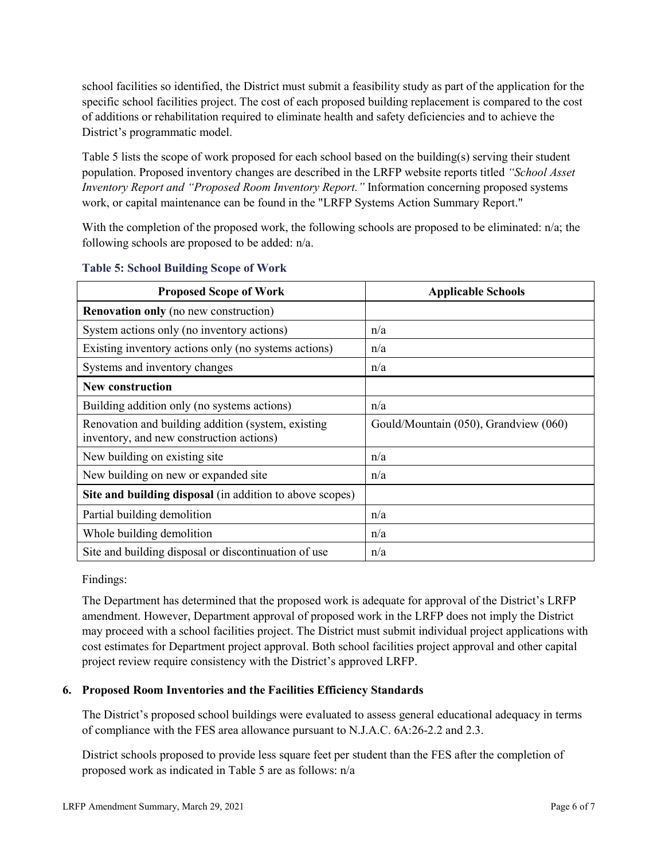school facilities so identified, the District must submit a feasibility study as part of the application for the specific school facilities project. The cost of each proposed building replacement is compared to the cost of additions or rehabilitation required to eliminate health and safety deficiencies and to achieve the District's programmatic model.

Table 5 lists the scope of work proposed for each school based on the building(s) serving their student population. Proposed inventory changes are described in the LRFP website reports titled *"School Asset Inventory Report and "Proposed Room Inventory Report."* Information concerning proposed systems work, or capital maintenance can be found in the "LRFP Systems Action Summary Report."

With the completion of the proposed work, the following schools are proposed to be eliminated: n/a; the following schools are proposed to be added: n/a.

| <b>Proposed Scope of Work</b>                                                                  | <b>Applicable Schools</b>             |
|------------------------------------------------------------------------------------------------|---------------------------------------|
| <b>Renovation only</b> (no new construction)                                                   |                                       |
| System actions only (no inventory actions)                                                     | n/a                                   |
| Existing inventory actions only (no systems actions)                                           | n/a                                   |
| Systems and inventory changes                                                                  | n/a                                   |
| New construction                                                                               |                                       |
| Building addition only (no systems actions)                                                    | n/a                                   |
| Renovation and building addition (system, existing<br>inventory, and new construction actions) | Gould/Mountain (050), Grandview (060) |
| New building on existing site                                                                  | n/a                                   |
| New building on new or expanded site                                                           | n/a                                   |
| Site and building disposal (in addition to above scopes)                                       |                                       |
| Partial building demolition                                                                    | n/a                                   |
| Whole building demolition                                                                      | n/a                                   |
| Site and building disposal or discontinuation of use                                           | n/a                                   |

#### **Table 5: School Building Scope of Work**

Findings:

The Department has determined that the proposed work is adequate for approval of the District's LRFP amendment. However, Department approval of proposed work in the LRFP does not imply the District may proceed with a school facilities project. The District must submit individual project applications with cost estimates for Department project approval. Both school facilities project approval and other capital project review require consistency with the District's approved LRFP.

# **6. Proposed Room Inventories and the Facilities Efficiency Standards**

The District's proposed school buildings were evaluated to assess general educational adequacy in terms of compliance with the FES area allowance pursuant to N.J.A.C. 6A:26-2.2 and 2.3.

District schools proposed to provide less square feet per student than the FES after the completion of proposed work as indicated in Table 5 are as follows: n/a